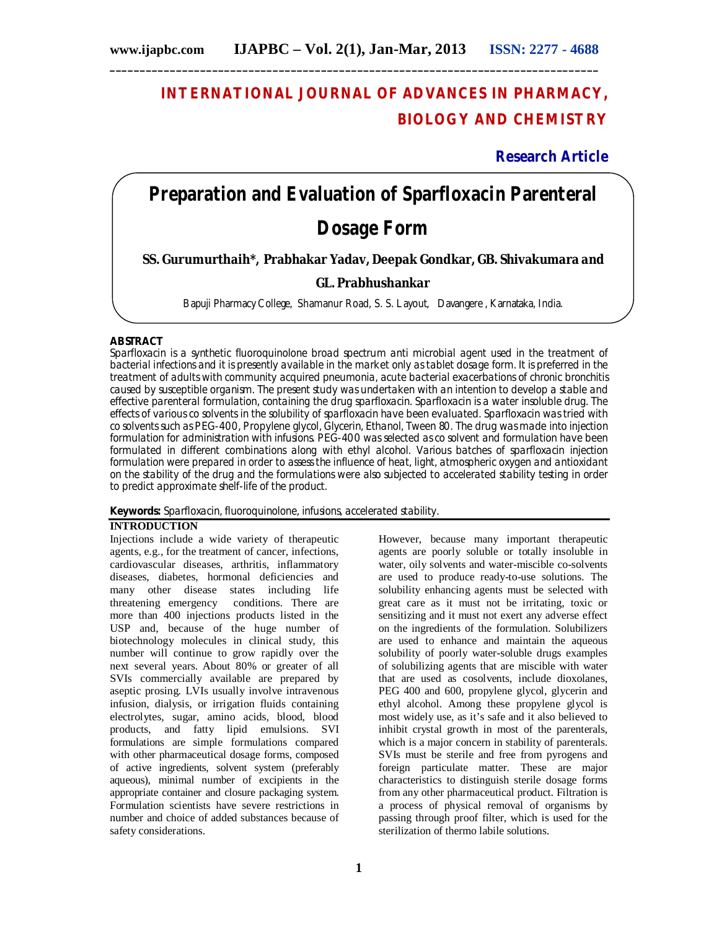# **INTERNATIONAL JOURNAL OF ADVANCES IN PHARMACY, BIOLOGY AND CHEMISTRY**

**Research Article**

# **Preparation and Evaluation of Sparfloxacin Parenteral**

# **Dosage Form**

**SS. Gurumurthaih\*, Prabhakar Yadav, Deepak Gondkar, GB. Shivakumara and** 

# **GL. Prabhushankar**

Bapuji Pharmacy College, Shamanur Road, S. S. Layout, Davangere , Karnataka, India.

# **ABSTRACT**

Sparfloxacin is a synthetic fluoroquinolone broad spectrum anti microbial agent used in the treatment of bacterial infections and it is presently available in the market only as tablet dosage form. It is preferred in the treatment of adults with community acquired pneumonia, acute bacterial exacerbations of chronic bronchitis caused by susceptible organism. The present study was undertaken with an intention to develop a stable and effective parenteral formulation, containing the drug sparfloxacin. Sparfloxacin is a water insoluble drug. The effects of various co solvents in the solubility of sparfloxacin have been evaluated. Sparfloxacin was tried with co solvents such as PEG-400, Propylene glycol, Glycerin, Ethanol, Tween 80. The drug was made into injection formulation for administration with infusions. PEG-400 was selected as co solvent and formulation have been formulated in different combinations along with ethyl alcohol. Various batches of sparfloxacin injection formulation were prepared in order to assess the influence of heat, light, atmospheric oxygen and antioxidant on the stability of the drug and the formulations were also subjected to accelerated stability testing in order to predict approximate shelf-life of the product.

**Keywords:** Sparfloxacin, fluoroquinolone, infusions, accelerated stability.

# **INTRODUCTION**

Injections include a wide variety of therapeutic agents, e.g., for the treatment of cancer, infections, cardiovascular diseases, arthritis, inflammatory diseases, diabetes, hormonal deficiencies and many other disease states including life threatening emergency conditions. There are more than 400 injections products listed in the USP and, because of the huge number of biotechnology molecules in clinical study, this number will continue to grow rapidly over the next several years. About 80% or greater of all SVIs commercially available are prepared by aseptic prosing. LVIs usually involve intravenous infusion, dialysis, or irrigation fluids containing electrolytes, sugar, amino acids, blood, blood products, and fatty lipid emulsions. SVI formulations are simple formulations compared with other pharmaceutical dosage forms, composed of active ingredients, solvent system (preferably aqueous), minimal number of excipients in the appropriate container and closure packaging system. Formulation scientists have severe restrictions in number and choice of added substances because of safety considerations.

However, because many important therapeutic agents are poorly soluble or totally insoluble in water, oily solvents and water-miscible co-solvents are used to produce ready-to-use solutions. The solubility enhancing agents must be selected with great care as it must not be irritating, toxic or sensitizing and it must not exert any adverse effect on the ingredients of the formulation. Solubilizers are used to enhance and maintain the aqueous solubility of poorly water-soluble drugs examples of solubilizing agents that are miscible with water that are used as cosolvents, include dioxolanes, PEG 400 and 600, propylene glycol, glycerin and ethyl alcohol. Among these propylene glycol is most widely use, as it's safe and it also believed to inhibit crystal growth in most of the parenterals, which is a major concern in stability of parenterals. SVIs must be sterile and free from pyrogens and foreign particulate matter. These are major characteristics to distinguish sterile dosage forms from any other pharmaceutical product. Filtration is a process of physical removal of organisms by passing through proof filter, which is used for the sterilization of thermo labile solutions.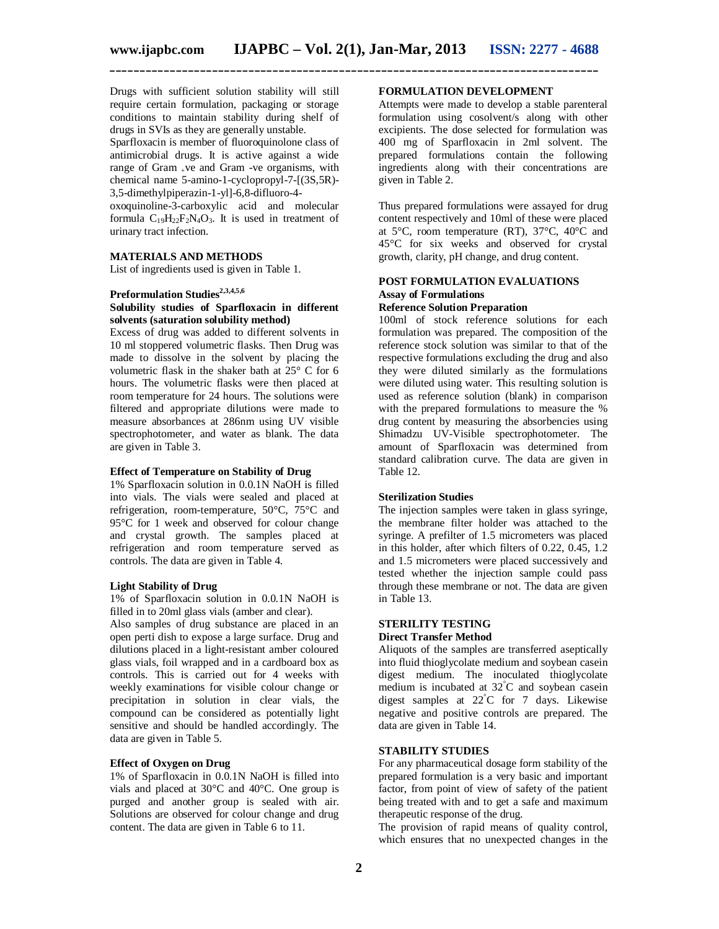Drugs with sufficient solution stability will still require certain formulation, packaging or storage conditions to maintain stability during shelf of drugs in SVIs as they are generally unstable.

Sparfloxacin is member of fluoroquinolone class of antimicrobial drugs. It is active against a wide range of Gram +ve and Gram -ve organisms, with chemical name 5-amino-1-cyclopropyl-7-[(3S,5R)- 3,5-dimethylpiperazin-1-yl]-6,8-difluoro-4-

oxoquinoline-3-carboxylic acid and molecular formula  $C_{19}H_{22}F_{2}N_{4}O_{3}$ . It is used in treatment of urinary tract infection.

#### **MATERIALS AND METHODS**

List of ingredients used is given in Table 1.

# **Preformulation Studies2,3,4,5,6**

#### **Solubility studies of Sparfloxacin in different solvents (saturation solubility method)**

Excess of drug was added to different solvents in 10 ml stoppered volumetric flasks. Then Drug was made to dissolve in the solvent by placing the volumetric flask in the shaker bath at  $25^{\circ}$  C for 6 hours. The volumetric flasks were then placed at room temperature for 24 hours. The solutions were filtered and appropriate dilutions were made to measure absorbances at 286nm using UV visible spectrophotometer, and water as blank. The data are given in Table 3.

#### **Effect of Temperature on Stability of Drug**

1% Sparfloxacin solution in 0.0.1N NaOH is filled into vials. The vials were sealed and placed at refrigeration, room-temperature,  $50^{\circ}$ C,  $75^{\circ}$ C and 95°C for 1 week and observed for colour change and crystal growth. The samples placed at refrigeration and room temperature served as controls. The data are given in Table 4.

#### **Light Stability of Drug**

1% of Sparfloxacin solution in 0.0.1N NaOH is filled in to 20ml glass vials (amber and clear).

Also samples of drug substance are placed in an open perti dish to expose a large surface. Drug and dilutions placed in a light-resistant amber coloured glass vials, foil wrapped and in a cardboard box as controls. This is carried out for 4 weeks with weekly examinations for visible colour change or precipitation in solution in clear vials, the compound can be considered as potentially light sensitive and should be handled accordingly. The data are given in Table 5.

#### **Effect of Oxygen on Drug**

1% of Sparfloxacin in 0.0.1N NaOH is filled into vials and placed at 30°C and 40°C. One group is purged and another group is sealed with air. Solutions are observed for colour change and drug content. The data are given in Table 6 to 11.

#### **FORMULATION DEVELOPMENT**

Attempts were made to develop a stable parenteral formulation using cosolvent/s along with other excipients. The dose selected for formulation was 400 mg of Sparfloxacin in 2ml solvent. The prepared formulations contain the following ingredients along with their concentrations are given in Table 2.

Thus prepared formulations were assayed for drug content respectively and 10ml of these were placed at 5°C, room temperature (RT), 37°C, 40°C and 45°C for six weeks and observed for crystal growth, clarity, pH change, and drug content.

#### **POST FORMULATION EVALUATIONS Assay of Formulations Reference Solution Preparation**

100ml of stock reference solutions for each formulation was prepared. The composition of the reference stock solution was similar to that of the respective formulations excluding the drug and also they were diluted similarly as the formulations were diluted using water. This resulting solution is used as reference solution (blank) in comparison with the prepared formulations to measure the % drug content by measuring the absorbencies using Shimadzu UV-Visible spectrophotometer. The amount of Sparfloxacin was determined from standard calibration curve. The data are given in Table 12.

#### **Sterilization Studies**

The injection samples were taken in glass syringe, the membrane filter holder was attached to the syringe. A prefilter of 1.5 micrometers was placed in this holder, after which filters of 0.22, 0.45, 1.2 and 1.5 micrometers were placed successively and tested whether the injection sample could pass through these membrane or not. The data are given in Table 13.

#### **STERILITY TESTING Direct Transfer Method**

Aliquots of the samples are transferred aseptically into fluid thioglycolate medium and soybean casein digest medium. The inoculated thioglycolate medium is incubated at 32°C and soybean casein digest samples at  $22^{\circ}$ C for 7 days. Likewise negative and positive controls are prepared. The data are given in Table 14.

#### **STABILITY STUDIES**

For any pharmaceutical dosage form stability of the prepared formulation is a very basic and important factor, from point of view of safety of the patient being treated with and to get a safe and maximum therapeutic response of the drug.

The provision of rapid means of quality control, which ensures that no unexpected changes in the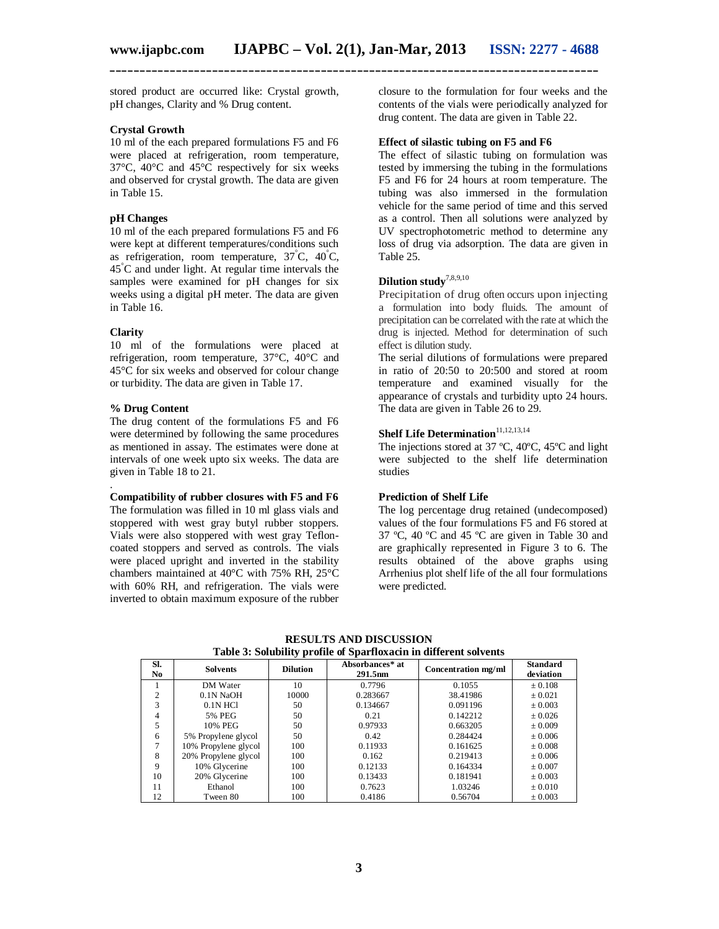stored product are occurred like: Crystal growth, pH changes, Clarity and % Drug content.

#### **Crystal Growth**

10 ml of the each prepared formulations F5 and F6 were placed at refrigeration, room temperature, 37°C, 40°C and 45°C respectively for six weeks and observed for crystal growth. The data are given in Table 15.

#### **pH Changes**

10 ml of the each prepared formulations F5 and F6 were kept at different temperatures/conditions such as refrigeration, room temperature, 37°C, 40°C, 45°C and under light. At regular time intervals the samples were examined for pH changes for six weeks using a digital pH meter. The data are given in Table 16.

#### **Clarity**

.

10 ml of the formulations were placed at refrigeration, room temperature, 37°C, 40°C and 45°C for six weeks and observed for colour change or turbidity. The data are given in Table 17.

#### **% Drug Content**

The drug content of the formulations F5 and F6 were determined by following the same procedures as mentioned in assay. The estimates were done at intervals of one week upto six weeks. The data are given in Table 18 to 21.

#### **Compatibility of rubber closures with F5 and F6**

The formulation was filled in 10 ml glass vials and stoppered with west gray butyl rubber stoppers. Vials were also stoppered with west gray Tefloncoated stoppers and served as controls. The vials were placed upright and inverted in the stability chambers maintained at 40°C with 75% RH, 25°C with 60% RH, and refrigeration. The vials were inverted to obtain maximum exposure of the rubber

closure to the formulation for four weeks and the contents of the vials were periodically analyzed for drug content. The data are given in Table 22.

#### **Effect of silastic tubing on F5 and F6**

The effect of silastic tubing on formulation was tested by immersing the tubing in the formulations F5 and F6 for 24 hours at room temperature. The tubing was also immersed in the formulation vehicle for the same period of time and this served as a control. Then all solutions were analyzed by UV spectrophotometric method to determine any loss of drug via adsorption. The data are given in Table 25.

#### **Dilution study**7,8,9,10

Precipitation of drug often occurs upon injecting a formulation into body fluids. The amount of precipitation can be correlated with the rate at which the drug is injected. Method for determination of such effect is dilution study.

The serial dilutions of formulations were prepared in ratio of 20:50 to 20:500 and stored at room temperature and examined visually for the appearance of crystals and turbidity upto 24 hours. The data are given in Table 26 to 29.

# **Shelf Life Determination**<sup>11,12,13,14</sup>

The injections stored at 37 ºC, 40ºC, 45ºC and light were subjected to the shelf life determination studies

# **Prediction of Shelf Life**

The log percentage drug retained (undecomposed) values of the four formulations F5 and F6 stored at 37 ºC, 40 ºC and 45 ºC are given in Table 30 and are graphically represented in Figure 3 to 6. The results obtained of the above graphs using Arrhenius plot shelf life of the all four formulations were predicted.

| <b>RESULTS AND DISCUSSION</b>                                     |
|-------------------------------------------------------------------|
| Table 3: Solubility profile of Sparfloxacin in different solvents |

| SI.<br>No. | <b>Solvents</b>      | <b>Dilution</b> | Absorbances* at<br>291.5 <sub>nm</sub> | Concentration mg/ml | <b>Standard</b><br>deviation |
|------------|----------------------|-----------------|----------------------------------------|---------------------|------------------------------|
|            | DM Water             | 10              | 0.7796                                 | 0.1055              | ± 0.108                      |
| ↑          | 0.1N NaOH            | 10000           | 0.283667                               | 38.41986            | ± 0.021                      |
| 3          | $0.1N$ HCl           | 50              | 0.134667                               | 0.091196            | $\pm 0.003$                  |
| 4          | 5% PEG               | 50              | 0.21                                   | 0.142212            | ± 0.026                      |
|            | 10% PEG              | 50              | 0.97933                                | 0.663205            | ± 0.009                      |
| 6          | 5% Propylene glycol  | 50              | 0.42                                   | 0.284424            | ± 0.006                      |
|            | 10% Propylene glycol | 100             | 0.11933                                | 0.161625            | $\pm 0.008$                  |
| 8          | 20% Propylene glycol | 100             | 0.162                                  | 0.219413            | ± 0.006                      |
| 9          | 10% Glycerine        | 100             | 0.12133                                | 0.164334            | ± 0.007                      |
| 10         | 20% Glycerine        | 100             | 0.13433                                | 0.181941            | $\pm 0.003$                  |
| 11         | Ethanol              | 100             | 0.7623                                 | 1.03246             | $\pm 0.010$                  |
| 12         | Tween 80             | 100             | 0.4186                                 | 0.56704             | $\pm 0.003$                  |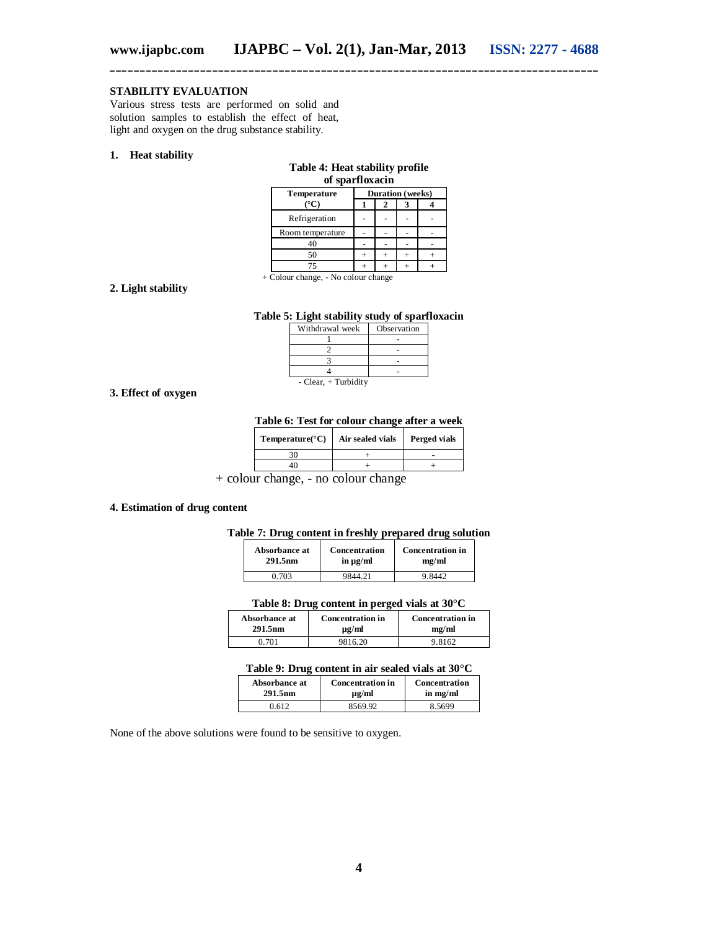#### **STABILITY EVALUATION**

Various stress tests are performed on solid and solution samples to establish the effect of heat, light and oxygen on the drug substance stability.

#### **1. Heat stability**

| of sparfloxacin                     |  |   |                         |  |  |
|-------------------------------------|--|---|-------------------------|--|--|
| <b>Temperature</b>                  |  |   | <b>Duration</b> (weeks) |  |  |
| (°C)                                |  | 2 |                         |  |  |
| Refrigeration                       |  |   |                         |  |  |
| Room temperature                    |  |   |                         |  |  |
| 40                                  |  |   |                         |  |  |
| 50                                  |  |   |                         |  |  |
| 75                                  |  |   |                         |  |  |
| + Colour change, - No colour change |  |   |                         |  |  |

**Table 4: Heat stability profile** 

#### **2. Light stability**

#### **Table 5: Light stability study of sparfloxacin**

| Withdrawal week        | Observation |  |  |  |
|------------------------|-------------|--|--|--|
|                        |             |  |  |  |
|                        |             |  |  |  |
|                        |             |  |  |  |
|                        |             |  |  |  |
| - Clear, $+$ Turbidity |             |  |  |  |

#### **3. Effect of oxygen**

**Table 6: Test for colour change after a week**

| Temperature( ${}^{\circ}$ C) | Air sealed vials | Perged vials |  |
|------------------------------|------------------|--------------|--|
|                              |                  |              |  |
|                              |                  |              |  |

+ colour change, - no colour change

#### **4. Estimation of drug content**

#### **Table 7: Drug content in freshly prepared drug solution**

| Absorbance at       | Concentration | <b>Concentration in</b> |
|---------------------|---------------|-------------------------|
| 291.5 <sub>nm</sub> | in $\mu$ g/ml | mg/ml                   |
| ነ 703               | 9844 21       |                         |

#### **Table 8: Drug content in perged vials at 30°C**

| Absorbance at       | <b>Concentration in</b> | <b>Concentration in</b> |
|---------------------|-------------------------|-------------------------|
| 291.5 <sub>nm</sub> | $\mu$ g/ml              | me/ml                   |
| ገ 701               | 9816.20                 | 9 8162                  |

#### **Table 9: Drug content in air sealed vials at 30°C**

| Absorbance at       | <b>Concentration in</b> | Concentration |  |
|---------------------|-------------------------|---------------|--|
| 291.5 <sub>nm</sub> | $\mu$ g/ml              | in mg/ml      |  |
| ) 612               | 8569.92                 | 8.5699        |  |

None of the above solutions were found to be sensitive to oxygen.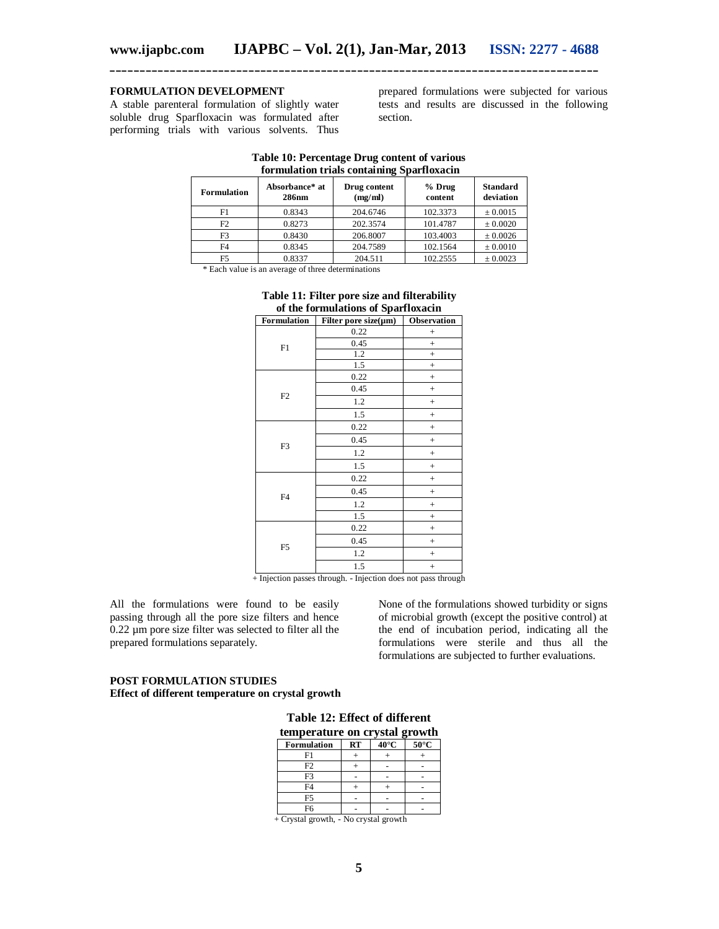# **FORMULATION DEVELOPMENT**

A stable parenteral formulation of slightly water soluble drug Sparfloxacin was formulated after performing trials with various solvents. Thus

prepared formulations were subjected for various tests and results are discussed in the following section.

| <b>Formulation</b> | Absorbance* at<br><b>286nm</b> | Drug content<br>(mg/ml) | $%$ Drug<br>content | <b>Standard</b><br>deviation |  |  |
|--------------------|--------------------------------|-------------------------|---------------------|------------------------------|--|--|
| F1                 | 0.8343                         | 204.6746                | 102.3373            | $\pm 0.0015$                 |  |  |
| F2                 | 0.8273                         | 202.3574                | 101.4787            | ± 0.0020                     |  |  |
| F3                 | 0.8430                         | 206.8007                | 103.4003            | ± 0.0026                     |  |  |
| F <sub>4</sub>     | 0.8345                         | 204.7589                | 102.1564            | $\pm 0.0010$                 |  |  |
| F5                 | 0.8337                         | 204.511                 | 102.2555            | ± 0.0023                     |  |  |

#### **Table 10: Percentage Drug content of various formulation trials containing Sparfloxacin**

\* Each value is an average of three determinations

| of the formulations of Sparfloxacin |                            |             |  |  |
|-------------------------------------|----------------------------|-------------|--|--|
| Formulation                         | Filter pore size $(\mu m)$ | Observation |  |  |
|                                     | 0.22                       | $^{+}$      |  |  |
| F1                                  | 0.45                       | $^{+}$      |  |  |
|                                     | 1.2                        | $^{+}$      |  |  |
|                                     | 1.5                        | $^{+}$      |  |  |
|                                     | 0.22                       | $^{+}$      |  |  |
|                                     | 0.45                       | $^{+}$      |  |  |
| F2                                  | 1.2                        | $^{+}$      |  |  |
|                                     | 1.5                        | $^{+}$      |  |  |
|                                     | 0.22                       | $^{+}$      |  |  |
| F3                                  | 0.45                       | $^{+}$      |  |  |
|                                     | 1.2                        | $^{+}$      |  |  |
|                                     | 1.5                        | $^{+}$      |  |  |
|                                     | 0.22                       | $^{+}$      |  |  |
| F <sub>4</sub>                      | 0.45                       | $^{+}$      |  |  |
|                                     | 1.2                        | $^{+}$      |  |  |
|                                     | 1.5                        | $\ddot{}$   |  |  |
|                                     | 0.22                       | $^{+}$      |  |  |
| F <sub>5</sub>                      | 0.45                       | $^{+}$      |  |  |
|                                     | 1.2                        | $^{+}$      |  |  |
|                                     | 1.5                        | $^{+}$      |  |  |

# **Table 11: Filter pore size and filterability**

+ Injection passes through. - Injection does not pass through

All the formulations were found to be easily passing through all the pore size filters and hence 0.22 µm pore size filter was selected to filter all the prepared formulations separately.

None of the formulations showed turbidity or signs of microbial growth (except the positive control) at the end of incubation period, indicating all the formulations were sterile and thus all the formulations are subjected to further evaluations.

#### **POST FORMULATION STUDIES Effect of different temperature on crystal growth**

| Table 12: Effect of different |  |  |  |
|-------------------------------|--|--|--|
|                               |  |  |  |

| temperature on crystal growth |           |                |                |  |  |  |
|-------------------------------|-----------|----------------|----------------|--|--|--|
| <b>Formulation</b>            | <b>RT</b> | $40^{\circ}$ C | $50^{\circ}$ C |  |  |  |
| F1                            |           |                |                |  |  |  |
| F <sub>2</sub>                |           |                |                |  |  |  |
| F3                            |           |                |                |  |  |  |
| F <sub>4</sub>                |           |                |                |  |  |  |
| F5                            |           |                |                |  |  |  |
| F6                            |           |                |                |  |  |  |

+ Crystal growth, - No crystal growth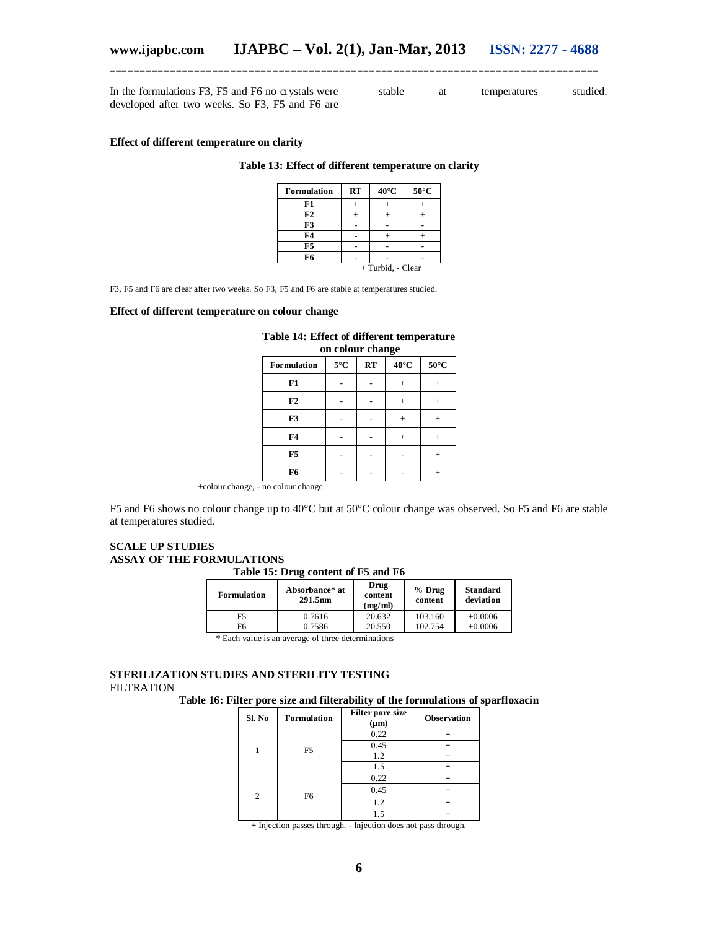stable at temperatures studied.

In the formulations F3, F5 and F6 no crystals were developed after two weeks. So F3, F5 and F6 are

**Effect of different temperature on clarity**

#### **Table 13: Effect of different temperature on clarity**

| <b>Formulation</b> | <b>RT</b> | $40^{\circ}$ C | $50^{\circ}$ C |  |  |  |
|--------------------|-----------|----------------|----------------|--|--|--|
| F1                 |           |                |                |  |  |  |
| F2                 |           |                |                |  |  |  |
| F3                 |           |                |                |  |  |  |
| F4                 |           |                |                |  |  |  |
| F5                 |           |                |                |  |  |  |
| F6                 |           |                |                |  |  |  |
| + Turbid, - Clear  |           |                |                |  |  |  |

F3, F5 and F6 are clear after two weeks. So F3, F5 and F6 are stable at temperatures studied.

#### **Effect of different temperature on colour change**

|                | on colour change |    |                |      |  |  |  |  |
|----------------|------------------|----|----------------|------|--|--|--|--|
| Formulation    | $5^{\circ}$ C    | RT | $40^{\circ}$ C | 50°C |  |  |  |  |
| F1             |                  |    |                |      |  |  |  |  |
| F2             |                  |    |                |      |  |  |  |  |
| F3             | $^{+}$           |    |                |      |  |  |  |  |
| F <sub>4</sub> |                  |    |                |      |  |  |  |  |
| F <sub>5</sub> |                  |    |                |      |  |  |  |  |
| F6             |                  |    |                |      |  |  |  |  |

**Table 14: Effect of different temperature on colour change**

+colour change, - no colour change.

F5 and F6 shows no colour change up to 40°C but at 50°C colour change was observed. So F5 and F6 are stable at temperatures studied.

#### **SCALE UP STUDIES ASSAY OF THE FORMULATIONS Table 15: Drug content of F5 and F6**

| <b>Formulation</b> | Absorbance* at<br>291.5nm                           | Drug<br>content<br>(mg/ml) | $%$ Drug<br>content | <b>Standard</b><br>deviation |
|--------------------|-----------------------------------------------------|----------------------------|---------------------|------------------------------|
| F5                 | 0.7616                                              | 20.632                     | 103.160             | $\pm 0.0006$                 |
| F6                 | 0.7586                                              | 20.550                     | 102.754             | $\pm 0.0006$                 |
|                    | * Back and he is an among a of these determinations |                            |                     |                              |

\* Each value is an average of three determinations

#### **STERILIZATION STUDIES AND STERILITY TESTING** FILTRATION

**Table 16: Filter pore size and filterability of the formulations of sparfloxacin**

| Sl. No         | Formulation    | Filter pore size<br>$(\mu m)$ | <b>Observation</b> |
|----------------|----------------|-------------------------------|--------------------|
|                |                | 0.22                          |                    |
|                | F <sub>5</sub> | 0.45                          |                    |
|                |                | 1.2                           |                    |
|                |                | 1.5                           |                    |
| $\mathfrak{D}$ |                | 0.22                          |                    |
|                | F <sub>6</sub> | 0.45                          |                    |
|                |                | 1.2                           |                    |
|                |                | 1.5                           |                    |

**+** Injection passes through. - Injection does not pass through.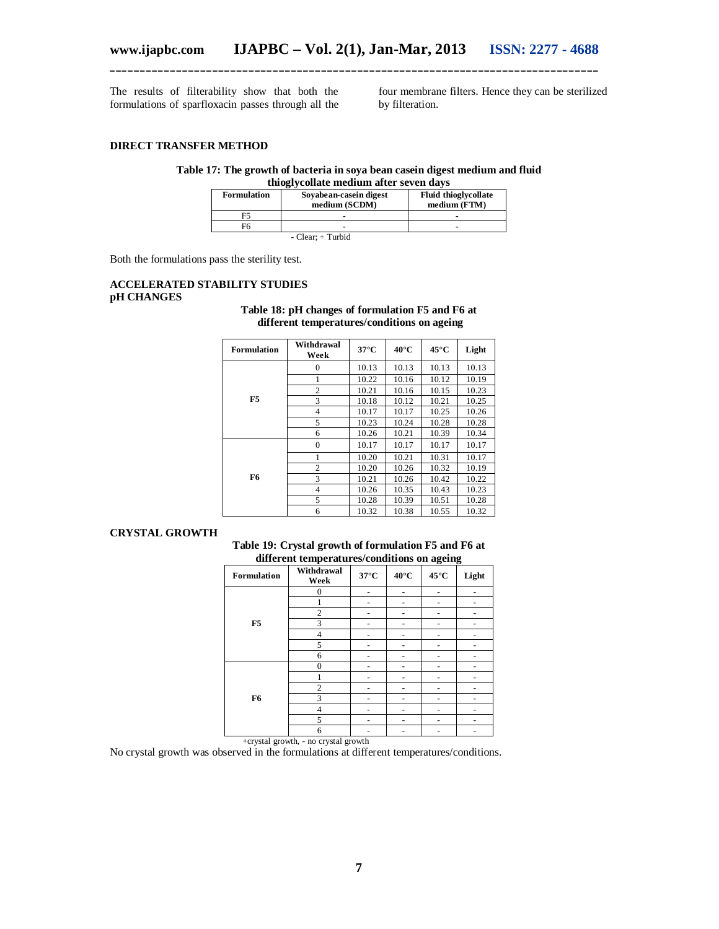The results of filterability show that both the formulations of sparfloxacin passes through all the four membrane filters. Hence they can be sterilized by filteration.

#### **DIRECT TRANSFER METHOD**

# **Table 17: The growth of bacteria in soya bean casein digest medium and fluid**

#### **thioglycollate medium after seven days**

| Formulation | Sovabean-casein digest<br>medium (SCDM) | <b>Fluid thioglycollate</b><br>medium (FTM) |
|-------------|-----------------------------------------|---------------------------------------------|
| F5          |                                         |                                             |
| F6          |                                         |                                             |
|             | - Clear: + Turbid                       |                                             |

Both the formulations pass the sterility test.

#### **ACCELERATED STABILITY STUDIES pH CHANGES Table 18: pH changes of formulation F5 and F6 at**

**different temperatures/conditions on ageing Formulation Withdrawal Week 37°C 40°C 45°C Light F5** 0 10.13 10.13 10.13 10.13<br>1 10.22 10.16 10.12 10.19 1 10.22 10.16 10.12<br>2 10.21 10.16 10.15 2 10.21 10.16 10.15 10.23<br>3 10.18 10.12 10.21 10.25 10.18 10.12 10.21 10.25<br>4 10.17 10.17 10.25 10.26 10.17 5 10.23 10.24 10.28 10.28<br>6 10.26 10.21 10.39 10.34 10.26 **F6** 0 10.17 10.17 10.17 10.17 1 10.20 10.21 10.31 10.17 2 10.20 10.26 10.32 10.19 10.21 10.26 10.42 10.22<br>4 10.26 10.35 10.43 10.23 10.26 10.35<br>10.28 10.39

#### **CRYSTAL GROWTH**

**Table 19: Crystal growth of formulation F5 and F6 at different temperatures/conditions on ageing**

10.32

5 10.28 10.39 10.51 10.28<br>6 10.32 10.38 10.55 10.32

| Formulation    | Withdrawal<br>Week | $37^{\circ}$ C | $40^{\circ}$ C | $45^{\circ}$ C | Light |
|----------------|--------------------|----------------|----------------|----------------|-------|
|                | $\theta$           |                |                |                |       |
|                |                    |                |                |                |       |
|                | $\overline{2}$     |                |                |                |       |
| F <sub>5</sub> | 3                  |                |                |                |       |
|                | 4                  |                |                |                |       |
|                | 5                  |                |                |                |       |
|                | 6                  |                |                |                |       |
|                | $\Omega$           |                |                |                |       |
|                |                    |                |                |                |       |
|                | $\overline{c}$     |                |                |                |       |
| F <sub>6</sub> | 3                  |                |                |                |       |
|                | $\overline{4}$     |                |                |                |       |
|                | 5                  |                |                |                |       |
|                | 6                  |                |                |                |       |

+crystal growth, - no crystal growth

No crystal growth was observed in the formulations at different temperatures/conditions.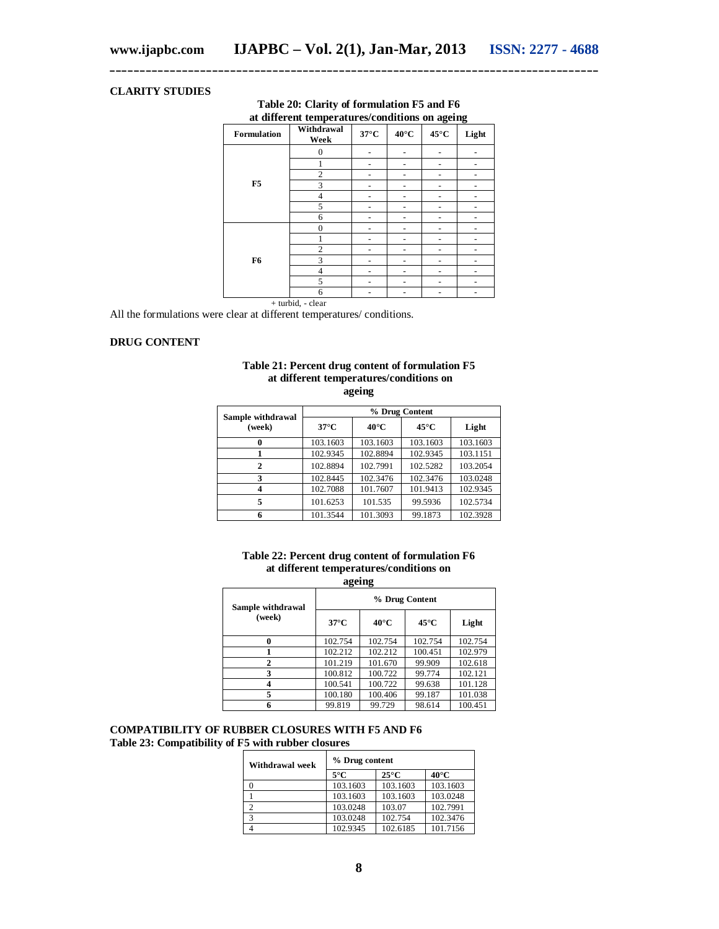# **CLARITY STUDIES**

| <b>Formulation</b> | at different temperatures/conditions on ageing<br>Withdrawal<br>Week | $37^{\circ}$ C | $40^{\circ}$ C | $45^{\circ}$ C | Light |
|--------------------|----------------------------------------------------------------------|----------------|----------------|----------------|-------|
|                    | $\Omega$                                                             |                |                |                |       |
|                    |                                                                      |                |                |                |       |
|                    | 2                                                                    |                |                |                |       |
| F <sub>5</sub>     | 3                                                                    |                |                |                |       |
|                    | $\overline{4}$                                                       |                |                |                |       |
|                    | 5                                                                    |                |                |                |       |
|                    | 6                                                                    |                |                |                |       |
|                    | $\Omega$                                                             |                |                |                |       |
|                    |                                                                      |                |                |                |       |
|                    | $\overline{c}$                                                       |                |                |                |       |
| F <sub>6</sub>     | 3                                                                    |                |                |                |       |
|                    | $\overline{4}$                                                       |                |                |                |       |
|                    | 5                                                                    |                |                |                |       |
|                    | 6                                                                    |                |                |                |       |
|                    | + turbid, - clear                                                    |                |                |                |       |

**Table 20: Clarity of formulation F5 and F6 at different temperatures/conditions on ageing**

**\_\_\_\_\_\_\_\_\_\_\_\_\_\_\_\_\_\_\_\_\_\_\_\_\_\_\_\_\_\_\_\_\_\_\_\_\_\_\_\_\_\_\_\_\_\_\_\_\_\_\_\_\_\_\_\_\_\_\_\_\_\_\_\_\_\_\_\_\_\_\_\_\_\_\_\_\_\_\_\_\_**

All the formulations were clear at different temperatures/ conditions.

# **DRUG CONTENT**

#### **Table 21: Percent drug content of formulation F5 at different temperatures/conditions on ageing**

| Sample withdrawal | % Drug Content |                |                |          |  |  |
|-------------------|----------------|----------------|----------------|----------|--|--|
| (week)            | $37^{\circ}$ C | $40^{\circ}$ C | $45^{\circ}$ C | Light    |  |  |
|                   | 103.1603       | 103.1603       | 103.1603       | 103.1603 |  |  |
|                   | 102.9345       | 102.8894       | 102.9345       | 103.1151 |  |  |
| $\mathbf{2}$      | 102.8894       | 102.7991       | 102.5282       | 103.2054 |  |  |
| 3                 | 102.8445       | 102.3476       | 102.3476       | 103.0248 |  |  |
|                   | 102.7088       | 101.7607       | 101.9413       | 102.9345 |  |  |
| 5                 | 101.6253       | 101.535        | 99.5936        | 102.5734 |  |  |
|                   | 101.3544       | 101.3093       | 99.1873        | 102.3928 |  |  |

# **Table 22: Percent drug content of formulation F6 at different temperatures/conditions on**

**ageing**

| Sample withdrawal | % Drug Content |                |                |         |  |  |  |
|-------------------|----------------|----------------|----------------|---------|--|--|--|
| (week)            | $37^{\circ}$ C | $40^{\circ}$ C | $45^{\circ}$ C | Light   |  |  |  |
| 0                 | 102.754        | 102.754        | 102.754        | 102.754 |  |  |  |
|                   | 102.212        | 102.212        | 100.451        | 102.979 |  |  |  |
| 2                 | 101.219        | 101.670        | 99.909         | 102.618 |  |  |  |
| 3                 | 100.812        | 100.722        | 99.774         | 102.121 |  |  |  |
|                   | 100.541        | 100.722        | 99.638         | 101.128 |  |  |  |
| 5                 | 100.180        | 100.406        | 99.187         | 101.038 |  |  |  |
|                   | 99.819         | 99.729         | 98.614         | 100.451 |  |  |  |

**COMPATIBILITY OF RUBBER CLOSURES WITH F5 AND F6 Table 23: Compatibility of F5 with rubber closures**

| Withdrawal week | % Drug content |                |                |  |  |  |
|-----------------|----------------|----------------|----------------|--|--|--|
|                 | $5^{\circ}$ C  | $25^{\circ}$ C | $40^{\circ}$ C |  |  |  |
|                 | 103.1603       | 103.1603       | 103.1603       |  |  |  |
|                 | 103.1603       | 103.1603       | 103.0248       |  |  |  |
|                 | 103.0248       | 103.07         | 102.7991       |  |  |  |
| $\mathfrak{D}$  | 103.0248       | 102.754        | 102.3476       |  |  |  |
|                 | 102.9345       | 102.6185       | 101.7156       |  |  |  |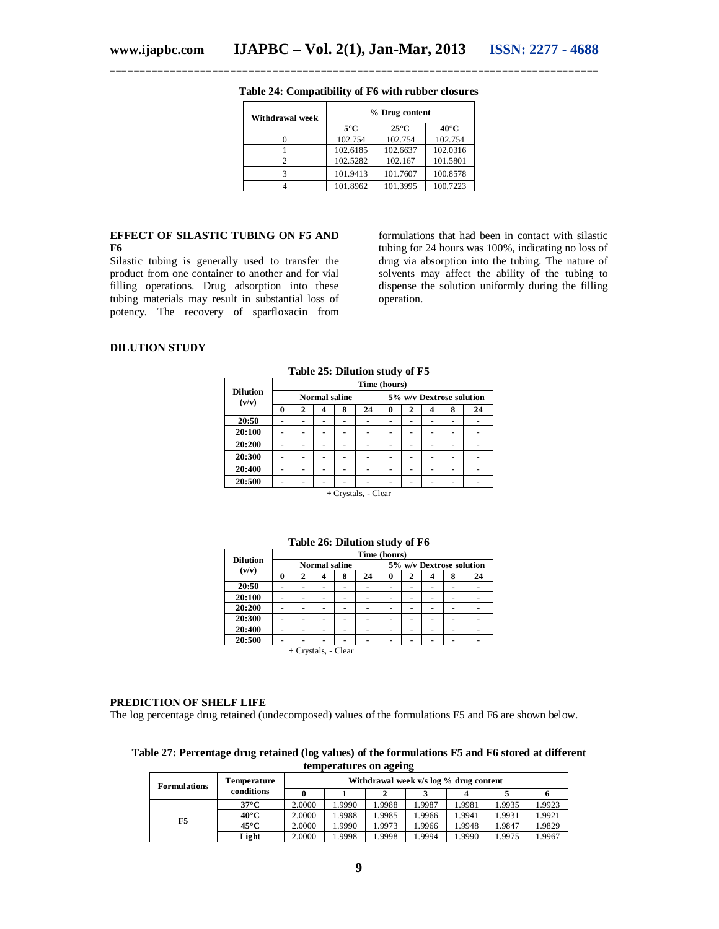| Withdrawal week | % Drug content |                |                |  |  |  |
|-----------------|----------------|----------------|----------------|--|--|--|
|                 | $5^{\circ}$ C  | $25^{\circ}$ C | $40^{\circ}$ C |  |  |  |
|                 | 102.754        | 102.754        | 102.754        |  |  |  |
|                 | 102.6185       | 102.6637       | 102.0316       |  |  |  |
|                 | 102.5282       | 102.167        | 101.5801       |  |  |  |
|                 | 101.9413       | 101.7607       | 100.8578       |  |  |  |
|                 | 101.8962       | 101.3995       | 100.7223       |  |  |  |

**Table 24: Compatibility of F6 with rubber closures**

#### **EFFECT OF SILASTIC TUBING ON F5 AND F6**

Silastic tubing is generally used to transfer the product from one container to another and for vial filling operations. Drug adsorption into these tubing materials may result in substantial loss of potency. The recovery of sparfloxacin from

formulations that had been in contact with silastic tubing for 24 hours was 100%, indicating no loss of drug via absorption into the tubing. The nature of solvents may affect the ability of the tubing to dispense the solution uniformly during the filling operation.

# **DILUTION STUDY**

|                          | Time (hours)         |   |   |   |    |                          |   |  |   |    |
|--------------------------|----------------------|---|---|---|----|--------------------------|---|--|---|----|
| <b>Dilution</b><br>(v/v) | <b>Normal saline</b> |   |   |   |    | 5% w/v Dextrose solution |   |  |   |    |
|                          | 0                    | 2 | 4 | 8 | 24 | 0                        | 2 |  | 8 | 24 |
| 20:50                    |                      |   |   |   |    |                          |   |  |   |    |
| 20:100                   |                      |   |   |   |    |                          |   |  |   |    |
| 20:200                   |                      |   |   |   |    |                          |   |  |   |    |
| 20:300                   |                      |   |   |   |    |                          |   |  |   |    |
| 20:400                   |                      |   |   |   |    |                          |   |  |   |    |
| 20:500                   |                      |   |   |   |    |                          |   |  |   |    |
|                          |                      |   |   |   |    |                          |   |  |   |    |

**Table 25: Dilution study of F5**

**<sup>+</sup>**Crystals, - Clear

| <b>Dilution</b><br>(v/v) | Time (hours)         |  |   |   |                          |   |  |   |   |    |
|--------------------------|----------------------|--|---|---|--------------------------|---|--|---|---|----|
|                          | <b>Normal saline</b> |  |   |   | 5% w/v Dextrose solution |   |  |   |   |    |
|                          |                      |  | 4 | 8 | 24                       | 0 |  |   | 8 | 24 |
| 20:50                    |                      |  |   |   |                          |   |  | ۰ |   |    |
| 20:100                   |                      |  |   |   |                          |   |  |   |   |    |
| 20:200                   |                      |  |   |   |                          |   |  |   |   |    |
| 20:300                   |                      |  |   |   |                          |   |  |   |   |    |
| 20:400                   |                      |  |   |   |                          |   |  |   |   |    |
| 20:500                   |                      |  |   |   |                          |   |  |   |   |    |
| + Crystals, - Clear      |                      |  |   |   |                          |   |  |   |   |    |

**Table 26: Dilution study of F6**

#### **PREDICTION OF SHELF LIFE**

The log percentage drug retained (undecomposed) values of the formulations F5 and F6 are shown below.

**Table 27: Percentage drug retained (log values) of the formulations F5 and F6 stored at different temperatures on ageing**

| <b>Formulations</b> | Temperature    | Withdrawal week v/s log % drug content |        |       |       |        |        |        |  |  |
|---------------------|----------------|----------------------------------------|--------|-------|-------|--------|--------|--------|--|--|
|                     | conditions     |                                        |        |       |       |        |        |        |  |  |
| F5                  | $37^{\circ}$ C | 2.0000                                 | 1.9990 | .9988 | .9987 | 1.9981 | 1.9935 | 1.9923 |  |  |
|                     | 40°C           | 2.0000                                 | 1.9988 | .9985 | .9966 | 1.9941 | 1.9931 | 1.9921 |  |  |
|                     | 45°C           | 2.0000                                 | 1.9990 | .9973 | .9966 | 1.9948 | .9847  | 1.9829 |  |  |
|                     | Light          | 2.0000                                 | 1.9998 | .9998 | .9994 | 1.9990 | .9975  | 1.9967 |  |  |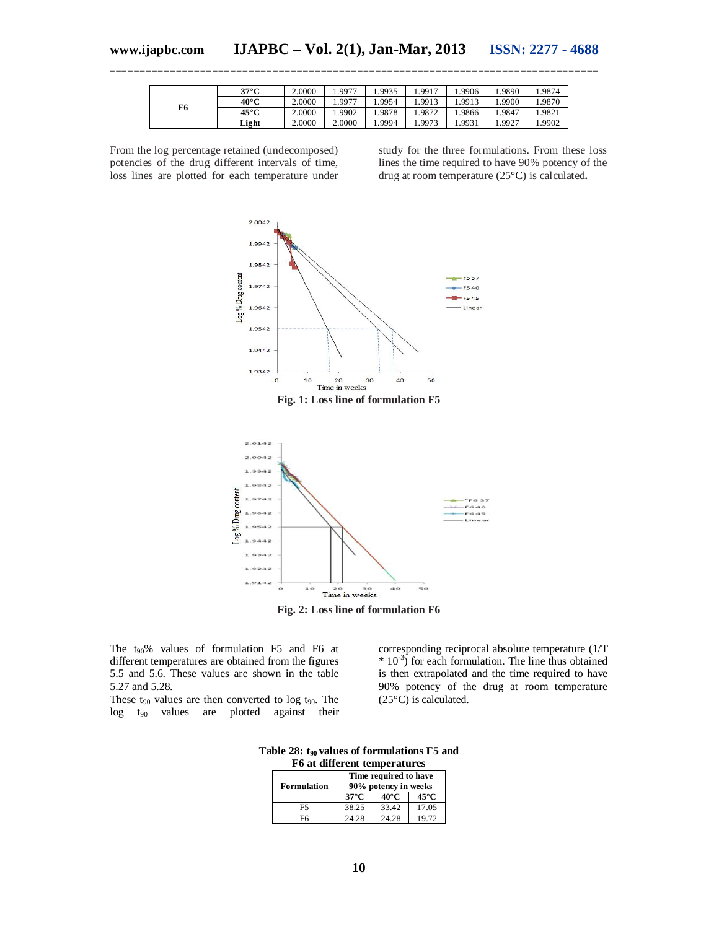| F6 | $37^{\circ}$ C | 2.0000 | 9977   | 1.9935  | .9917 | .9906  | .9890 | .9874  |
|----|----------------|--------|--------|---------|-------|--------|-------|--------|
|    | 40°C           | 2.0000 | 9977   | ـ 9954. | .9913 | 1.9913 | .9900 | 1.9870 |
|    | $45^{\circ}$ C | 2.0000 | 1.9902 | 1.9878  | .9872 | .9866  | .9847 | 1.9821 |
|    | Light          | 2.0000 | 2.0000 | 1.9994  | .9973 | 1.9931 | .9927 | 1.9902 |

From the log percentage retained (undecomposed) potencies of the drug different intervals of time, loss lines are plotted for each temperature under study for the three formulations. From these loss lines the time required to have 90% potency of the drug at room temperature (25°C) is calculated**.**



**Fig. 2: Loss line of formulation F6**

The  $t_{90}$ % values of formulation F5 and F6 at different temperatures are obtained from the figures 5.5 and 5.6. These values are shown in the table 5.27 and 5.28.

These  $t_{90}$  values are then converted to log  $t_{90}$ . The log t<sup>90</sup> values are plotted against their corresponding reciprocal absolute temperature (1/T  $*$  10<sup>-3</sup>) for each formulation. The line thus obtained is then extrapolated and the time required to have 90% potency of the drug at room temperature (25°C) is calculated.

**Table 28: t90 values of formulations F5 and F6** of different temperature

| ro at unierem temperatures |                                               |                |                |  |  |  |  |
|----------------------------|-----------------------------------------------|----------------|----------------|--|--|--|--|
| <b>Formulation</b>         | Time required to have<br>90% potency in weeks |                |                |  |  |  |  |
|                            | $37^{\circ}$ C                                | $40^{\circ}$ C | $45^{\circ}$ C |  |  |  |  |
| F5                         | 38.25                                         | 33.42          | 17.05          |  |  |  |  |
| F6                         | 24.28                                         | 24.28          | 19.72          |  |  |  |  |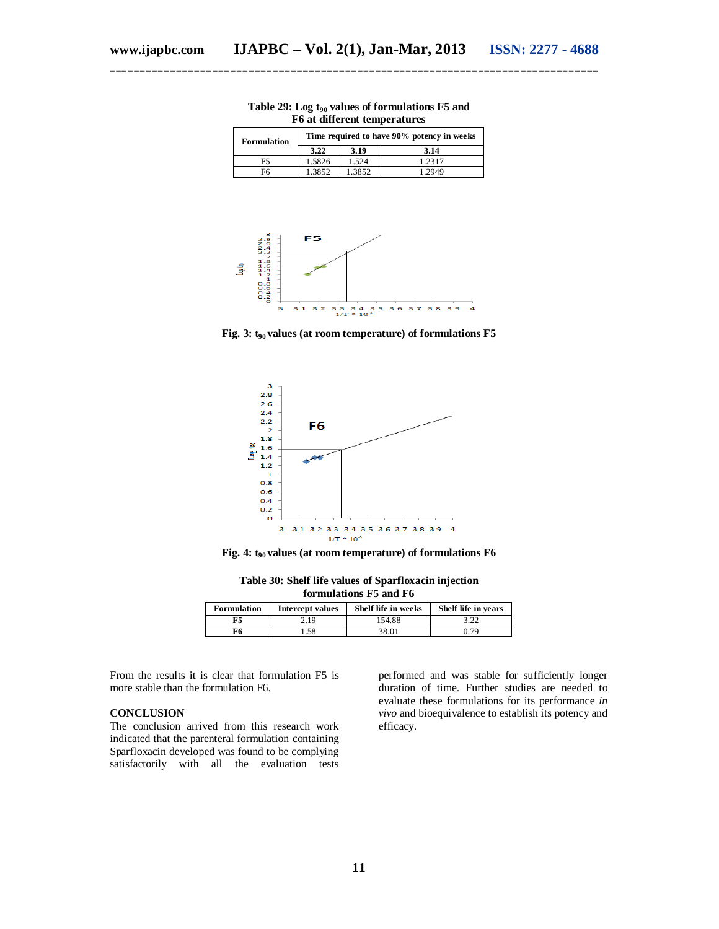| <b>Formulation</b> |        | Time required to have 90% potency in weeks |        |  |  |  |  |
|--------------------|--------|--------------------------------------------|--------|--|--|--|--|
|                    | 3.22   | 3.19                                       | 3.14   |  |  |  |  |
| F5                 | 1.5826 | 1.524                                      | 1.2317 |  |  |  |  |
| F6                 | .3852  | 1.3852                                     | 2949   |  |  |  |  |





Fig. 3:  $t_{90}$  values (at room temperature) of formulations F5



**Fig. 4: t90 values (at room temperature) of formulations F6**

| Table 30: Shelf life values of Sparfloxacin injection |
|-------------------------------------------------------|
| formulations F5 and F6                                |

| <b>Formulation</b> | Intercept values | Shelf life in weeks | Shelf life in years |
|--------------------|------------------|---------------------|---------------------|
| F5                 | 2.19             | 154.88              |                     |
| ஈ6                 | .58              | 38.01               | በ 79                |

From the results it is clear that formulation F5 is more stable than the formulation F6.

#### **CONCLUSION**

The conclusion arrived from this research work indicated that the parenteral formulation containing Sparfloxacin developed was found to be complying satisfactorily with all the evaluation tests

performed and was stable for sufficiently longer duration of time. Further studies are needed to evaluate these formulations for its performance *in vivo* and bioequivalence to establish its potency and efficacy.